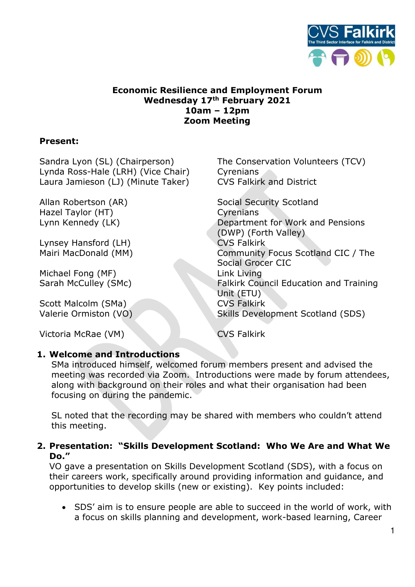

# **Economic Resilience and Employment Forum Wednesday 17th February 2021 10am – 12pm Zoom Meeting**

## **Present:**

Sandra Lyon (SL) (Chairperson) The Conservation Volunteers (TCV) Lynda Ross-Hale (LRH) (Vice Chair) Cyrenians Laura Jamieson (LJ) (Minute Taker) CVS Falkirk and District

Hazel Taylor (HT) Cyrenians

Lynsey Hansford (LH) CVS Falkirk

Michael Fong (MF) Link Living

Scott Malcolm (SMa) **CVS Falkirk** 

Victoria McRae (VM) CVS Falkirk

Allan Robertson (AR) Social Security Scotland Lynn Kennedy (LK) Department for Work and Pensions (DWP) (Forth Valley) Mairi MacDonald (MM) Community Focus Scotland CIC / The Social Grocer CIC Sarah McCulley (SMc) Falkirk Council Education and Training Unit (ETU) Valerie Ormiston (VO) Skills Development Scotland (SDS)

### **1. Welcome and Introductions**

SMa introduced himself, welcomed forum members present and advised the meeting was recorded via Zoom. Introductions were made by forum attendees, along with background on their roles and what their organisation had been focusing on during the pandemic.

SL noted that the recording may be shared with members who couldn't attend this meeting.

## **2. Presentation: "Skills Development Scotland: Who We Are and What We Do."**

VO gave a presentation on Skills Development Scotland (SDS), with a focus on their careers work, specifically around providing information and guidance, and opportunities to develop skills (new or existing). Key points included:

• SDS' aim is to ensure people are able to succeed in the world of work, with a focus on skills planning and development, work-based learning, Career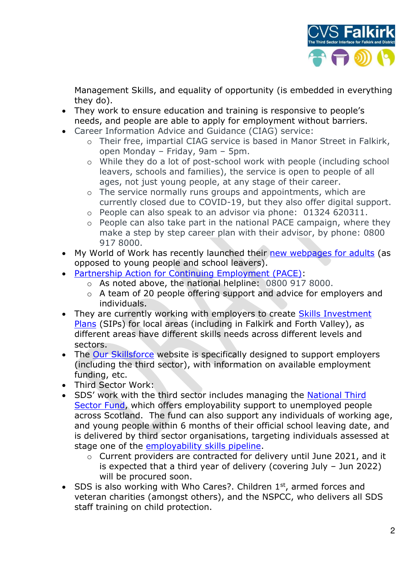

Management Skills, and equality of opportunity (is embedded in everything they do).

- They work to ensure education and training is responsive to people's needs, and people are able to apply for employment without barriers.
- Career Information Advice and Guidance (CIAG) service:
	- o Their free, impartial CIAG service is based in Manor Street in Falkirk, open Monday – Friday, 9am – 5pm.
	- o While they do a lot of post-school work with people (including school leavers, schools and families), the service is open to people of all ages, not just young people, at any stage of their career.
	- o The service normally runs groups and appointments, which are currently closed due to COVID-19, but they also offer digital support.
	- o People can also speak to an advisor via phone: 01324 620311.
	- o People can also take part in the national PACE campaign, where they make a step by step career plan with their advisor, by phone: 0800 917 8000.
- My World of Work has recently launched their [new webpages for adults](https://www.myworldofwork.co.uk/employed) (as opposed to young people and school leavers).
- [Partnership Action for Continuing Employment \(PACE\):](https://www.skillsdevelopmentscotland.co.uk/what-we-do/employability-skills/partnership-action-for-continuing-employment-pace/)
	- o As noted above, the national helpline: 0800 917 8000.
	- o A team of 20 people offering support and advice for employers and individuals.
- They are currently working with employers to create [Skills Investment](https://www.skillsdevelopmentscotland.co.uk/what-we-do/skills-planning-alignment/skills-investment-plans/)  [Plans](https://www.skillsdevelopmentscotland.co.uk/what-we-do/skills-planning-alignment/skills-investment-plans/) (SIPs) for local areas (including in Falkirk and Forth Valley), as different areas have different skills needs across different levels and sectors.
- The [Our Skillsforce](https://www.ourskillsforce.co.uk/) website is specifically designed to support employers (including the third sector), with information on available employment funding, etc.
- Third Sector Work:
- SDS' work with the third sector includes managing the [National Third](https://www.skillsdevelopmentscotland.co.uk/what-we-do/employability-skills/national-third-sector-fund/)  [Sector Fund,](https://www.skillsdevelopmentscotland.co.uk/what-we-do/employability-skills/national-third-sector-fund/) which offers employability support to unemployed people across Scotland. The fund can also support any individuals of working age, and young people within 6 months of their official school leaving date, and is delivered by third sector organisations, targeting individuals assessed at stage one of the [employability skills pipeline.](http://www.employabilityinscotland.com/employability-pipeline/the-employability-pipeline/)
	- o Current providers are contracted for delivery until June 2021, and it is expected that a third year of delivery (covering July – Jun 2022) will be procured soon.
- SDS is also working with Who Cares?. Children  $1<sup>st</sup>$ , armed forces and veteran charities (amongst others), and the NSPCC, who delivers all SDS staff training on child protection.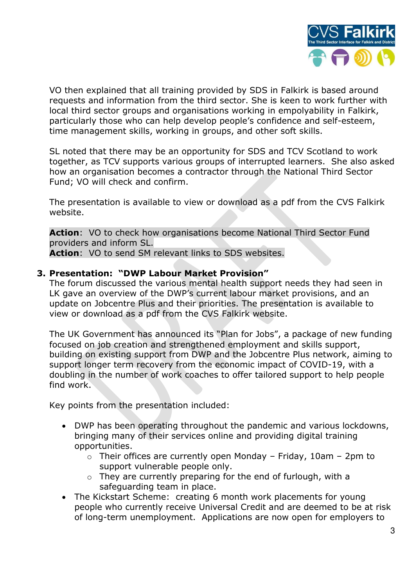

VO then explained that all training provided by SDS in Falkirk is based around requests and information from the third sector. She is keen to work further with local third sector groups and organisations working in empolyability in Falkirk, particularly those who can help develop people's confidence and self-esteem, time management skills, working in groups, and other soft skills.

SL noted that there may be an opportunity for SDS and TCV Scotland to work together, as TCV supports various groups of interrupted learners. She also asked how an organisation becomes a contractor through the National Third Sector Fund; VO will check and confirm.

The presentation is available to view or download as a pdf from the CVS Falkirk website.

**Action**: VO to check how organisations become National Third Sector Fund providers and inform SL.

Action: VO to send SM relevant links to SDS websites.

### **3. Presentation: "DWP Labour Market Provision"**

The forum discussed the various mental health support needs they had seen in LK gave an overview of the DWP's current labour market provisions, and an update on Jobcentre Plus and their priorities. The presentation is available to view or download as a pdf from the CVS Falkirk website.

The UK Government has announced its "Plan for Jobs", a package of new funding focused on job creation and strengthened employment and skills support, building on existing support from DWP and the Jobcentre Plus network, aiming to support longer term recovery from the economic impact of COVID-19, with a doubling in the number of work coaches to offer tailored support to help people find work.

Key points from the presentation included:

- DWP has been operating throughout the pandemic and various lockdowns, bringing many of their services online and providing digital training opportunities.
	- $\circ$  Their offices are currently open Monday Friday, 10am 2pm to support vulnerable people only.
	- $\circ$  They are currently preparing for the end of furlough, with a safeguarding team in place.
- The Kickstart Scheme: creating 6 month work placements for young people who currently receive Universal Credit and are deemed to be at risk of long-term unemployment. Applications are now open for employers to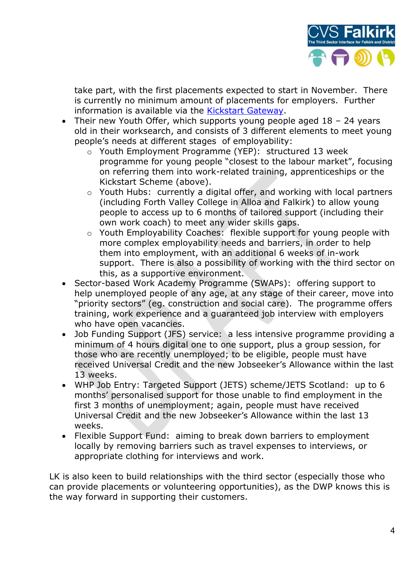

take part, with the first placements expected to start in November. There is currently no minimum amount of placements for employers. Further information is available via the [Kickstart Gateway.](https://kickstartgateway.co.uk/?gclid=Cj0KCQiAvbiBBhD-ARIsAGM48byk0225g0TSZoXQ8Qo8Zlx6W7uVd9T-_OflstQvFKGawUW3hlwWtr0aAvtQEALw_wcB)

- Their new Youth Offer, which supports young people aged 18 24 years old in their worksearch, and consists of 3 different elements to meet young people's needs at different stages of employability:
	- o Youth Employment Programme (YEP): structured 13 week programme for young people "closest to the labour market", focusing on referring them into work-related training, apprenticeships or the Kickstart Scheme (above).
	- o Youth Hubs: currently a digital offer, and working with local partners (including Forth Valley College in Alloa and Falkirk) to allow young people to access up to 6 months of tailored support (including their own work coach) to meet any wider skills gaps.
	- o Youth Employability Coaches: flexible support for young people with more complex employability needs and barriers, in order to help them into employment, with an additional 6 weeks of in-work support. There is also a possibility of working with the third sector on this, as a supportive environment.
- Sector-based Work Academy Programme (SWAPs): offering support to help unemployed people of any age, at any stage of their career, move into "priority sectors" (eg. construction and social care). The programme offers training, work experience and a guaranteed job interview with employers who have open vacancies.
- Job Funding Support (JFS) service: a less intensive programme providing a minimum of 4 hours digital one to one support, plus a group session, for those who are recently unemployed; to be eligible, people must have received Universal Credit and the new Jobseeker's Allowance within the last 13 weeks.
- WHP Job Entry: Targeted Support (JETS) scheme/JETS Scotland: up to 6 months' personalised support for those unable to find employment in the first 3 months of unemployment; again, people must have received Universal Credit and the new Jobseeker's Allowance within the last 13 weeks.
- Flexible Support Fund: aiming to break down barriers to employment locally by removing barriers such as travel expenses to interviews, or appropriate clothing for interviews and work.

LK is also keen to build relationships with the third sector (especially those who can provide placements or volunteering opportunities), as the DWP knows this is the way forward in supporting their customers.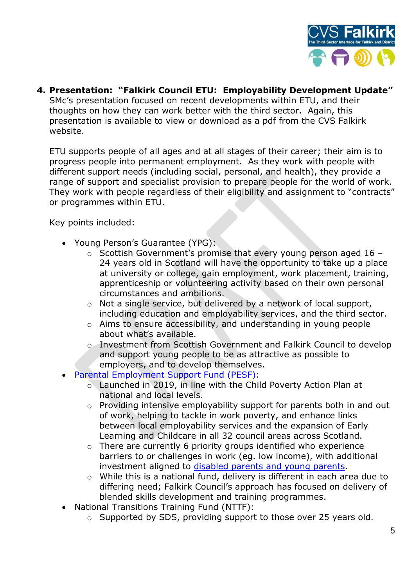

**4. Presentation: "Falkirk Council ETU: Employability Development Update"** SMc's presentation focused on recent developments within ETU, and their

thoughts on how they can work better with the third sector. Again, this presentation is available to view or download as a pdf from the CVS Falkirk website.

ETU supports people of all ages and at all stages of their career; their aim is to progress people into permanent employment. As they work with people with different support needs (including social, personal, and health), they provide a range of support and specialist provision to prepare people for the world of work. They work with people regardless of their eligibility and assignment to "contracts" or programmes within ETU.

Key points included:

- Young Person's Guarantee (YPG):
	- o Scottish Government's promise that every young person aged 16 24 years old in Scotland will have the opportunity to take up a place at university or college, gain employment, work placement, training, apprenticeship or volunteering activity based on their own personal circumstances and ambitions.
	- o Not a single service, but delivered by a network of local support, including education and employability services, and the third sector.
	- o Aims to ensure accessibility, and understanding in young people about what's available.
	- o Investment from Scottish Government and Falkirk Council to develop and support young people to be as attractive as possible to employers, and to develop themselves.
- [Parental Employment Support Fund \(PESF\):](http://www.cvsfalkirk.org.uk/parental-employment-support-fund/)
	- o Launched in 2019, in line with the Child Poverty Action Plan at national and local levels.
	- o Providing intensive employability support for parents both in and out of work, helping to tackle in work poverty, and enhance links between local employability services and the expansion of Early Learning and Childcare in all 32 council areas across Scotland.
	- o There are currently 6 priority groups identified who experience barriers to or challenges in work (eg. low income), with additional investment aligned to [disabled parents and young parents.](http://www.cvsfalkirk.org.uk/disabled-parental-employment-support-and-elc-boost-funding/)
	- o While this is a national fund, delivery is different in each area due to differing need; Falkirk Council's approach has focused on delivery of blended skills development and training programmes.
- National Transitions Training Fund (NTTF):
	- o Supported by SDS, providing support to those over 25 years old.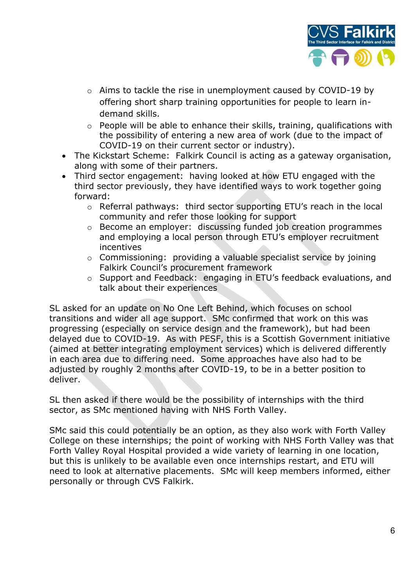

- o Aims to tackle the rise in unemployment caused by COVID-19 by offering short sharp training opportunities for people to learn indemand skills.
- $\circ$  People will be able to enhance their skills, training, qualifications with the possibility of entering a new area of work (due to the impact of COVID-19 on their current sector or industry).
- The Kickstart Scheme: Falkirk Council is acting as a gateway organisation, along with some of their partners.
- Third sector engagement: having looked at how ETU engaged with the third sector previously, they have identified ways to work together going forward:
	- o Referral pathways: third sector supporting ETU's reach in the local community and refer those looking for support
	- o Become an employer: discussing funded job creation programmes and employing a local person through ETU's employer recruitment incentives
	- o Commissioning: providing a valuable specialist service by joining Falkirk Council's procurement framework
	- o Support and Feedback: engaging in ETU's feedback evaluations, and talk about their experiences

SL asked for an update on No One Left Behind, which focuses on school transitions and wider all age support. SMc confirmed that work on this was progressing (especially on service design and the framework), but had been delayed due to COVID-19. As with PESF, this is a Scottish Government initiative (aimed at better integrating employment services) which is delivered differently in each area due to differing need. Some approaches have also had to be adjusted by roughly 2 months after COVID-19, to be in a better position to deliver.

SL then asked if there would be the possibility of internships with the third sector, as SMc mentioned having with NHS Forth Valley.

SMc said this could potentially be an option, as they also work with Forth Valley College on these internships; the point of working with NHS Forth Valley was that Forth Valley Royal Hospital provided a wide variety of learning in one location, but this is unlikely to be available even once internships restart, and ETU will need to look at alternative placements. SMc will keep members informed, either personally or through CVS Falkirk.